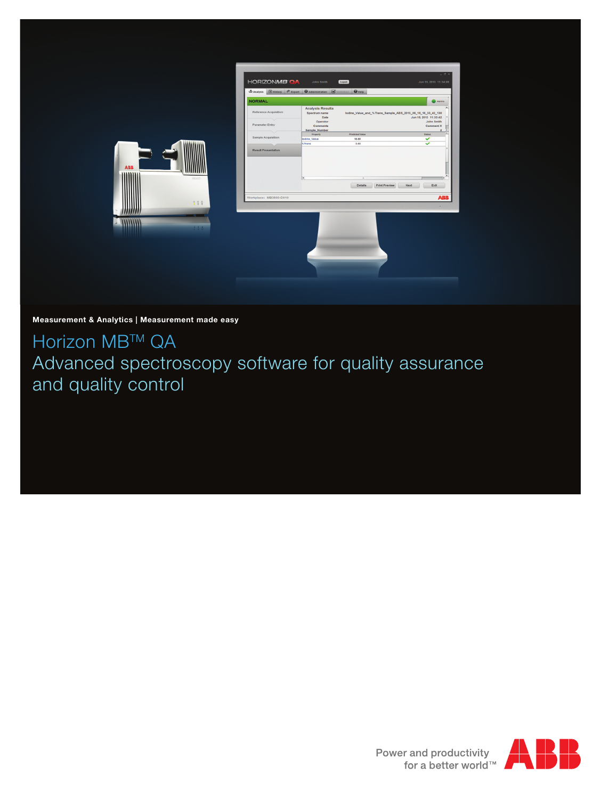|            | <b>HORIZONMB OA</b>                    | John Smith<br>Logout<br><b><i><u>Export</u></i> Gil History <i>P</i></b> Export <b>G</b> Administration <b>S</b><br>$\bigcirc$ Help | Jun 15, 2013 11:34:08                                                                                       |
|------------|----------------------------------------|-------------------------------------------------------------------------------------------------------------------------------------|-------------------------------------------------------------------------------------------------------------|
|            | <b>NORMAL</b><br>Reference Acquisition | <b>Analysis Results</b><br>Spectrum name<br>Date                                                                                    | Alarms<br>lodine_Value_and_%Trans_Sample_ABS_2013_06_15_16_33_42_130<br>Jun 15, 2013 11:33:42<br>John Smith |
|            | Parameter Entry<br>Sample Acquisition  | Operator<br>Comments<br>Sample_Number<br>Property<br>Predicted Value<br>lodine_Value<br>18.69                                       | Comment X<br>$\overline{2}$<br>ī.<br><b>Status</b><br>$\checkmark$                                          |
|            | <b>Result Presentation</b>             | 3.03<br>%Trans                                                                                                                      | $\checkmark$                                                                                                |
| <b>ABB</b> | MIXADO                                 |                                                                                                                                     |                                                                                                             |
|            |                                        | Details                                                                                                                             | Print Preview<br>Next<br>Exit                                                                               |
|            | Workplace: MB3600-CH10<br>? 77         |                                                                                                                                     | <b>ABB</b><br>14                                                                                            |
|            | 1.1.1                                  |                                                                                                                                     |                                                                                                             |
|            |                                        |                                                                                                                                     |                                                                                                             |

# Measurement & Analytics | Measurement made easy

Horizon MB™ QA Advanced spectroscopy software for quality assurance and quality control

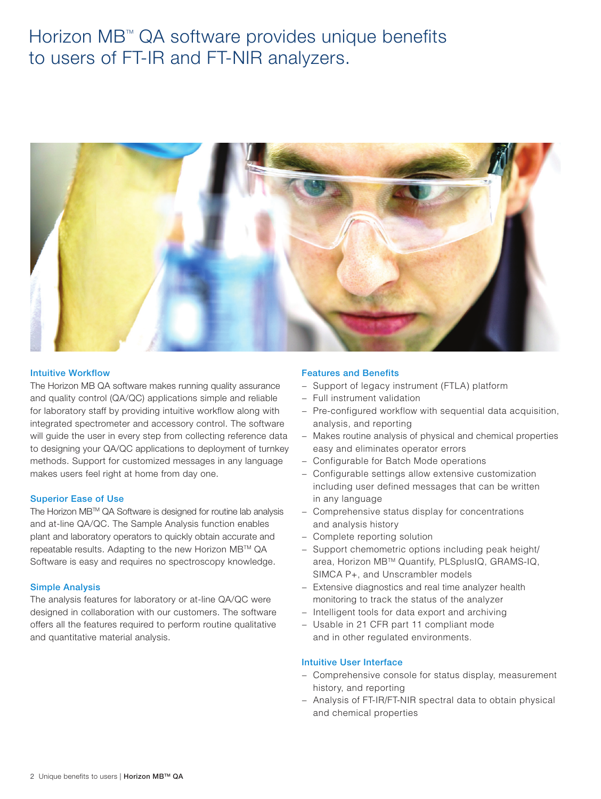# Horizon MB<sup>™</sup> QA software provides unique benefits to users of FT-IR and FT-NIR analyzers.



## Intuitive Workflow

The Horizon MB QA software makes running quality assurance and quality control (QA/QC) applications simple and reliable for laboratory staff by providing intuitive workflow along with integrated spectrometer and accessory control. The software will guide the user in every step from collecting reference data to designing your QA/QC applications to deployment of turnkey methods. Support for customized messages in any language makes users feel right at home from day one.

## Superior Ease of Use

The Horizon MB™ QA Software is designed for routine lab analysis and at-line QA/QC. The Sample Analysis function enables plant and laboratory operators to quickly obtain accurate and repeatable results. Adapting to the new Horizon MB™ QA Software is easy and requires no spectroscopy knowledge.

#### Simple Analysis

The analysis features for laboratory or at-line QA/QC were designed in collaboration with our customers. The software offers all the features required to perform routine qualitative and quantitative material analysis.

## Features and Benefits

- − Support of legacy instrument (FTLA) platform
- − Full instrument validation
- − Pre-configured workflow with sequential data acquisition, analysis, and reporting
- Makes routine analysis of physical and chemical properties easy and eliminates operator errors
- − Configurable for Batch Mode operations
- − Configurable settings allow extensive customization including user defined messages that can be written in any language
- Comprehensive status display for concentrations and analysis history
- − Complete reporting solution
- − Support chemometric options including peak height/ area, Horizon MB™ Quantify, PLSplusIQ, GRAMS-IQ, SIMCA P+, and Unscrambler models
- − Extensive diagnostics and real time analyzer health monitoring to track the status of the analyzer
- − Intelligent tools for data export and archiving
- − Usable in 21 CFR part 11 compliant mode and in other regulated environments.

## Intuitive User Interface

- − Comprehensive console for status display, measurement history, and reporting
- − Analysis of FT-IR/FT-NIR spectral data to obtain physical and chemical properties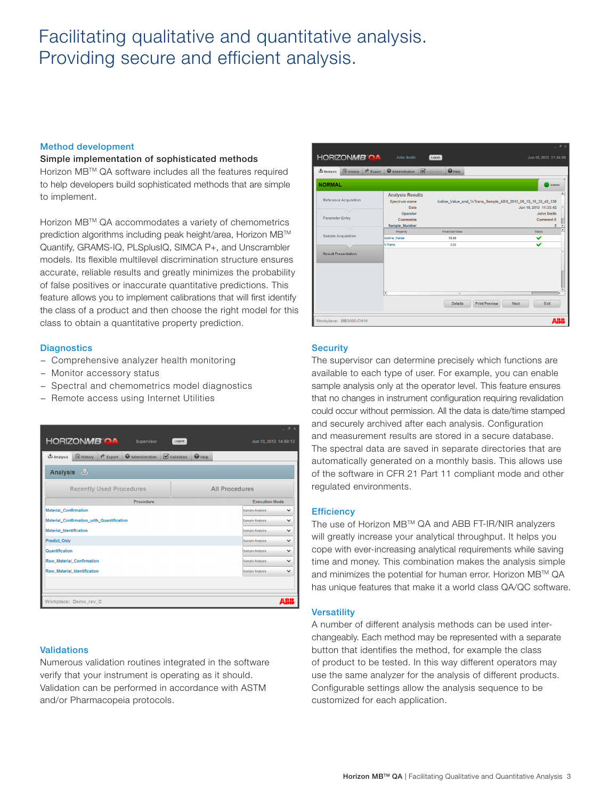# Facilitating qualitative and quantitative analysis. Providing secure and efficient analysis.

## Method development

#### Simple implementation of sophisticated methods

Horizon MBTM QA software includes all the features required to help developers build sophisticated methods that are simple to implement.

Horizon MBTM QA accommodates a variety of chemometrics prediction algorithms including peak height/area, Horizon MB™ Quantify, GRAMS-IQ, PLSplusIQ, SIMCA P+, and Unscrambler models. Its flexible multilevel discrimination structure ensures accurate, reliable results and greatly minimizes the probability of false positives or inaccurate quantitative predictions. This feature allows you to implement calibrations that will first identify the class of a product and then choose the right model for this class to obtain a quantitative property prediction.

## **Diagnostics**

- − Comprehensive analyzer health monitoring
- − Monitor accessory status
- − Spectral and chemometrics model diagnostics
- − Remote access using Internet Utilities

|                                                      | $ \sigma$ $\times$              |  |  |  |
|------------------------------------------------------|---------------------------------|--|--|--|
| HORIZONMB OA<br>Supervisor                           | Logout<br>Jun 13, 2013 14:50:13 |  |  |  |
| (10) History<br>Analysis<br>Export<br>Administration | $\bigcirc$ Help<br>Validation   |  |  |  |
| $\mathbf{r}$<br><b>Analysis</b>                      |                                 |  |  |  |
| <b>Recently Used Procedures</b>                      | <b>All Procedures</b>           |  |  |  |
| Procedure                                            | <b>Execution Mode</b>           |  |  |  |
| Material_Confirmation                                | $\checkmark$<br>Sample Analysis |  |  |  |
| Material Confirmation with Quantification            | $\checkmark$<br>Sample Analysis |  |  |  |
| <b>Material Identification</b>                       | Sample Analysis<br>$\checkmark$ |  |  |  |
| <b>Predict_Only</b>                                  | Sample Analysis<br>$\checkmark$ |  |  |  |
| Quantification                                       | $\checkmark$<br>Sample Analysis |  |  |  |
| Raw_Material_Confirmation                            | Sample Analysis<br>$\checkmark$ |  |  |  |
| Raw_Material_Identification                          | Sample Analysis<br>$\checkmark$ |  |  |  |
|                                                      |                                 |  |  |  |
| Workplace: Demo rev C                                | ABII                            |  |  |  |

## **Validations**

Numerous validation routines integrated in the software verify that your instrument is operating as it should. Validation can be performed in accordance with ASTM and/or Pharmacopeia protocols.



# **Security**

The supervisor can determine precisely which functions are available to each type of user. For example, you can enable sample analysis only at the operator level. This feature ensures that no changes in instrument configuration requiring revalidation could occur without permission. All the data is date/time stamped and securely archived after each analysis. Configuration and measurement results are stored in a secure database. The spectral data are saved in separate directories that are automatically generated on a monthly basis. This allows use of the software in CFR 21 Part 11 compliant mode and other regulated environments.

#### **Efficiency**

The use of Horizon MBTM QA and ABB FT-IR/NIR analyzers will greatly increase your analytical throughput. It helps you cope with ever-increasing analytical requirements while saving time and money. This combination makes the analysis simple and minimizes the potential for human error. Horizon MB™ QA has unique features that make it a world class QA/QC software.

## **Versatility**

A number of different analysis methods can be used interchangeably. Each method may be represented with a separate button that identifies the method, for example the class of product to be tested. In this way different operators may use the same analyzer for the analysis of different products. Configurable settings allow the analysis sequence to be customized for each application.